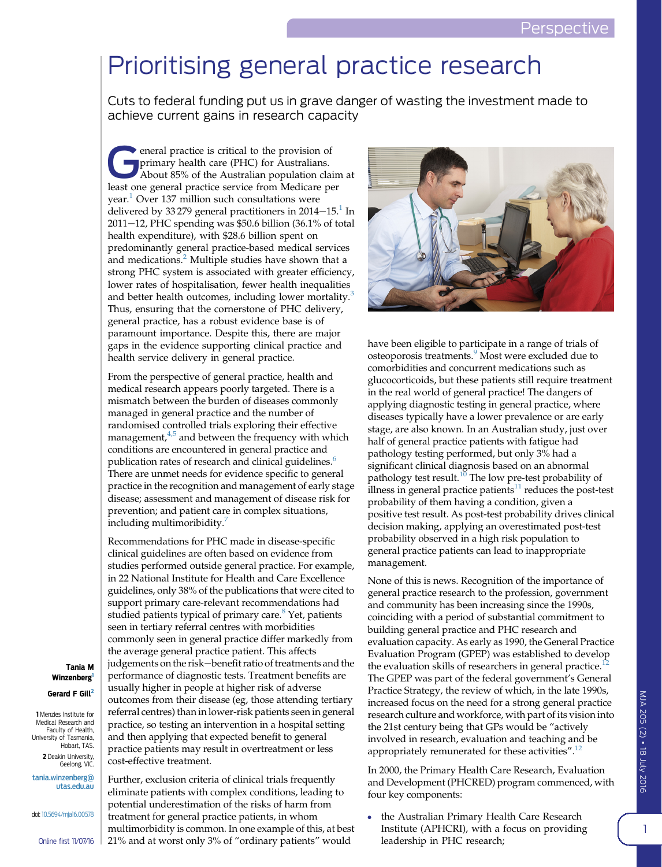## Prioritising general practice research

Cuts to federal funding put us in grave danger of wasting the investment made to achieve current gains in research capacity

 $\bullet$  eneral practice is critical to the provision of primary health care (PHC) for Australians. About 85% of the Australian population claim at least one general practice service from Medicare per year.<sup>[1](#page-3-0)</sup> Over 137 million such consultations were delivered by 33 279 general practitioners in  $2014-15<sup>1</sup>$  $2014-15<sup>1</sup>$  $2014-15<sup>1</sup>$  In  $2011-12$ , PHC spending was \$50.6 billion (36.1% of total health expenditure), with \$28.6 billion spent on predominantly general practice-based medical services and medications.<sup>[2](#page-3-0)</sup> Multiple studies have shown that a strong PHC system is associated with greater efficiency, lower rates of hospitalisation, fewer health inequalities and better health outcomes, including lower mortality.<sup>[3](#page-3-0)</sup> Thus, ensuring that the cornerstone of PHC delivery, general practice, has a robust evidence base is of paramount importance. Despite this, there are major gaps in the evidence supporting clinical practice and health service delivery in general practice.

From the perspective of general practice, health and medical research appears poorly targeted. There is a mismatch between the burden of diseases commonly managed in general practice and the number of randomised controlled trials exploring their effective management,<sup>[4,5](#page-3-0)</sup> and between the frequency with which conditions are encountered in general practice and publication rates of research and clinical guidelines.<sup>[6](#page-3-0)</sup> There are unmet needs for evidence specific to general practice in the recognition and management of early stage disease; assessment and management of disease risk for prevention; and patient care in complex situations, including multimoribidity.[7](#page-3-0)

Recommendations for PHC made in disease-specific clinical guidelines are often based on evidence from studies performed outside general practice. For example, in 22 National Institute for Health and Care Excellence guidelines, only 38% of the publications that were cited to support primary care-relevant recommendations had studied patients typical of primary care. $8$  Yet, patients seen in tertiary referral centres with morbidities commonly seen in general practice differ markedly from the average general practice patient. This affects judgements on the risk-benefit ratio of treatments and the performance of diagnostic tests. Treatment benefits are usually higher in people at higher risk of adverse outcomes from their disease (eg, those attending tertiary referral centres) than in lower-risk patients seen in general practice, so testing an intervention in a hospital setting and then applying that expected benefit to general practice patients may result in overtreatment or less cost-effective treatment.

Further, exclusion criteria of clinical trials frequently eliminate patients with complex conditions, leading to potential underestimation of the risks of harm from treatment for general practice patients, in whom multimorbidity is common. In one example of this, at best 21% and at worst only 3% of "ordinary patients" would



have been eligible to participate in a range of trials of osteoporosis treatments.<sup>[9](#page-3-0)</sup> Most were excluded due to comorbidities and concurrent medications such as glucocorticoids, but these patients still require treatment in the real world of general practice! The dangers of applying diagnostic testing in general practice, where diseases typically have a lower prevalence or are early stage, are also known. In an Australian study, just over half of general practice patients with fatigue had pathology testing performed, but only 3% had a significant clinical diagnosis based on an abnormal pathology test result.<sup>[10](#page-3-0)</sup> The low pre-test probability of illness in general practice patients $11$  reduces the post-test probability of them having a condition, given a positive test result. As post-test probability drives clinical decision making, applying an overestimated post-test probability observed in a high risk population to general practice patients can lead to inappropriate management.

None of this is news. Recognition of the importance of general practice research to the profession, government and community has been increasing since the 1990s, coinciding with a period of substantial commitment to building general practice and PHC research and evaluation capacity. As early as 1990, the General Practice Evaluation Program (GPEP) was established to develop the evaluation skills of researchers in general practice.<sup>[12](#page-3-0)</sup> The GPEP was part of the federal government's General Practice Strategy, the review of which, in the late 1990s, increased focus on the need for a strong general practice research culture and workforce, with part of its vision into the 21st century being that GPs would be "actively involved in research, evaluation and teaching and be appropriately remunerated for these activities".<sup>[12](#page-3-0)</sup>

In 2000, the Primary Health Care Research, Evaluation and Development (PHCRED) program commenced, with four key components:

 the Australian Primary Health Care Research Institute (APHCRI), with a focus on providing leadership in PHC research;

## MJA 205 (2) j 18 July 2016

Tania M Winzenberg<sup>1</sup>

Gerard F Gill<sup>2</sup>

1 Menzies Institute for Medical Research and Faculty of Health, University of Tasmania, Hobart, TAS.

2 Deakin University, Geelong, VIC. [tania.winzenberg@](mailto:tania.winzenberg@utas.edu.au) [utas.edu.au](mailto:tania.winzenberg@utas.edu.au)

doi: [10.5694/mja16.00578](http://dx.doi.org/10.5694/mja16.00578)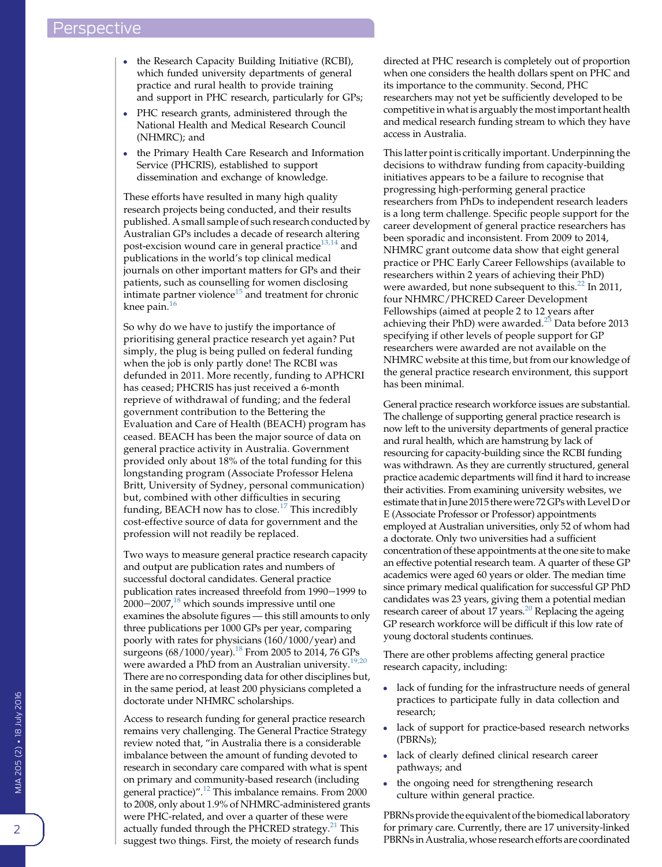- the Research Capacity Building Initiative (RCBI), which funded university departments of general practice and rural health to provide training and support in PHC research, particularly for GPs;
- PHC research grants, administered through the National Health and Medical Research Council (NHMRC); and
- the Primary Health Care Research and Information Service (PHCRIS), established to support dissemination and exchange of knowledge.

These efforts have resulted in many high quality research projects being conducted, and their results published. A small sample of such research conducted by Australian GPs includes a decade of research altering post-excision wound care in general practice $^{13,14}$  $^{13,14}$  $^{13,14}$  and publications in the world's top clinical medical journals on other important matters for GPs and their patients, such as counselling for women disclosing intimate partner violence<sup>[15](#page-3-0)</sup> and treatment for chronic knee pain. $16$ 

So why do we have to justify the importance of prioritising general practice research yet again? Put simply, the plug is being pulled on federal funding when the job is only partly done! The RCBI was defunded in 2011. More recently, funding to APHCRI has ceased; PHCRIS has just received a 6-month reprieve of withdrawal of funding; and the federal government contribution to the Bettering the Evaluation and Care of Health (BEACH) program has ceased. BEACH has been the major source of data on general practice activity in Australia. Government provided only about 18% of the total funding for this longstanding program (Associate Professor Helena Britt, University of Sydney, personal communication) but, combined with other difficulties in securing funding, BEACH now has to close.<sup>[17](#page-3-0)</sup> This incredibly cost-effective source of data for government and the profession will not readily be replaced.

Two ways to measure general practice research capacity and output are publication rates and numbers of successful doctoral candidates. General practice publication rates increased threefold from 1990-1999 to  $2000-2007$ ,<sup>[18](#page-3-0)</sup> which sounds impressive until one examines the absolute figures — this still amounts to only three publications per 1000 GPs per year, comparing poorly with rates for physicians (160/1000/year) and surgeons (68/1000/year).[18](#page-3-0) From 2005 to 2014, 76 GPs were awarded a PhD from an Australian university.  $^{19,20}\,$  $^{19,20}\,$  $^{19,20}\,$ There are no corresponding data for other disciplines but, in the same period, at least 200 physicians completed a doctorate under NHMRC scholarships.

Access to research funding for general practice research remains very challenging. The General Practice Strategy review noted that, "in Australia there is a considerable imbalance between the amount of funding devoted to research in secondary care compared with what is spent on primary and community-based research (including general practice)". [12](#page-3-0) This imbalance remains. From 2000 to 2008, only about 1.9% of NHMRC-administered grants were PHC-related, and over a quarter of these were actually funded through the PHCRED strategy.<sup>[21](#page-3-0)</sup> This suggest two things. First, the moiety of research funds

directed at PHC research is completely out of proportion when one considers the health dollars spent on PHC and its importance to the community. Second, PHC researchers may not yet be sufficiently developed to be competitive in what is arguably the most important health and medical research funding stream to which they have access in Australia.

This latter point is critically important. Underpinning the decisions to withdraw funding from capacity-building initiatives appears to be a failure to recognise that progressing high-performing general practice researchers from PhDs to independent research leaders is a long term challenge. Specific people support for the career development of general practice researchers has been sporadic and inconsistent. From 2009 to 2014, NHMRC grant outcome data show that eight general practice or PHC Early Career Fellowships (available to researchers within 2 years of achieving their PhD) were awarded, but none subsequent to this.<sup>[22](#page-3-0)</sup> In 2011, four NHMRC/PHCRED Career Development Fellowships (aimed at people 2 to 12 years after achieving their PhD) were awarded.<sup>[23](#page-3-0)</sup> Data before 2013 specifying if other levels of people support for GP researchers were awarded are not available on the NHMRC website at this time, but from our knowledge of the general practice research environment, this support has been minimal.

General practice research workforce issues are substantial. The challenge of supporting general practice research is now left to the university departments of general practice and rural health, which are hamstrung by lack of resourcing for capacity-building since the RCBI funding was withdrawn. As they are currently structured, general practice academic departments will find it hard to increase their activities. From examining university websites, we estimate thatin June 2015 therewere 72 GPswith Level D or E (Associate Professor or Professor) appointments employed at Australian universities, only 52 of whom had a doctorate. Only two universities had a sufficient concentration of these appointments at the one site to make an effective potential research team. A quarter of these GP academics were aged 60 years or older. The median time since primary medical qualification for successful GP PhD candidates was 23 years, giving them a potential median research career of about 17 years.<sup>20</sup> Replacing the ageing GP research workforce will be difficult if this low rate of young doctoral students continues.

There are other problems affecting general practice research capacity, including:

- lack of funding for the infrastructure needs of general practices to participate fully in data collection and research;
- lack of support for practice-based research networks (PBRNs);
- lack of clearly defined clinical research career pathways; and
- the ongoing need for strengthening research culture within general practice.

PBRNs provide the equivalent of the biomedical laboratory for primary care. Currently, there are 17 university-linked PBRNs in Australia, whose research efforts are coordinated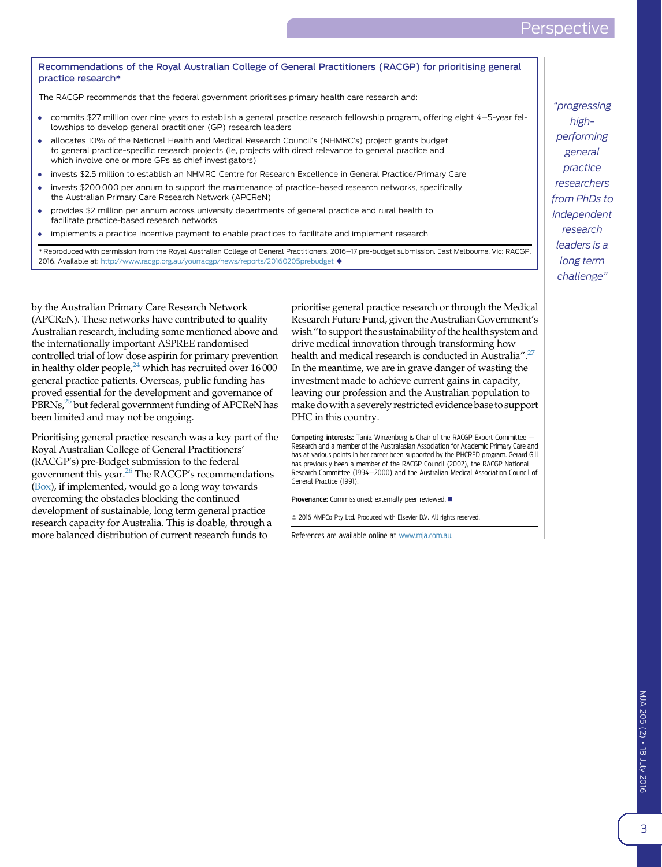MJA 205 (2) j 18 July 2016

## Perspectiv

## Recommendations of the Royal Australian College of General Practitioners (RACGP) for prioritising general practice research\*

The RACGP recommends that the federal government prioritises primary health care research and:

- commits \$27 million over nine years to establish a general practice research fellowship program, offering eight 4-5-year fellowships to develop general practitioner (GP) research leaders
- allocates 10% of the National Health and Medical Research Council's (NHMRC's) project grants budget to general practice-specific research projects (ie, projects with direct relevance to general practice and which involve one or more GPs as chief investigators)
- invests \$2.5 million to establish an NHMRC Centre for Research Excellence in General Practice/Primary Care
- invests \$200 000 per annum to support the maintenance of practice-based research networks, specifically the Australian Primary Care Research Network (APCReN)
- provides \$2 million per annum across university departments of general practice and rural health to facilitate practice-based research networks
- implements a practice incentive payment to enable practices to facilitate and implement research

\* Reproduced with permission from the Royal Australian College of General Practitioners. 2016-17 pre-budget submission. East Melbourne, Vic: RACGP, 2016. Available at: <http://www.racgp.org.au/yourracgp/news/reports/20160205prebudget>  $\blacklozenge$ 

by the Australian Primary Care Research Network (APCReN). These networks have contributed to quality Australian research, including some mentioned above and the internationally important ASPREE randomised controlled trial of low dose aspirin for primary prevention in healthy older people, $24$  which has recruited over 16000 general practice patients. Overseas, public funding has proved essential for the development and governance of PBRNs,<sup>25</sup> but federal government funding of APCReN has been limited and may not be ongoing.

Prioritising general practice research was a key part of the Royal Australian College of General Practitioners' (RACGP's) pre-Budget submission to the federal government this year[.26](#page-3-0) The RACGP's recommendations (Box), if implemented, would go a long way towards overcoming the obstacles blocking the continued development of sustainable, long term general practice research capacity for Australia. This is doable, through a more balanced distribution of current research funds to

prioritise general practice research or through the Medical Research Future Fund, given the Australian Government's wish"to support the sustainability of the health system and drive medical innovation through transforming how health and medical research is conducted in Australia".<sup>[27](#page-3-0)</sup> In the meantime, we are in grave danger of wasting the investment made to achieve current gains in capacity, leaving our profession and the Australian population to make dowith a severely restricted evidence base to support PHC in this country.

Competing interests: Tania Winzenberg is Chair of the RACGP Expert Committee -Research and a member of the Australasian Association for Academic Primary Care and has at various points in her career been supported by the PHCRED program. Gerard Gill has previously been a member of the RACGP Council (2002), the RACGP National Research Committee (1994-2000) and the Australian Medical Association Council of General Practice (1991).

Provenance: Commissioned; externally peer reviewed.

 $\odot$  2016 AMPCo Pty Ltd. Produced with Elsevier B.V. All rights reserved.

References are available online at [www.mja.com.au.](http://www.mja.com.au)

"progressing highperforming general practice researchers from PhDs to independent research leaders is a long term challenge"